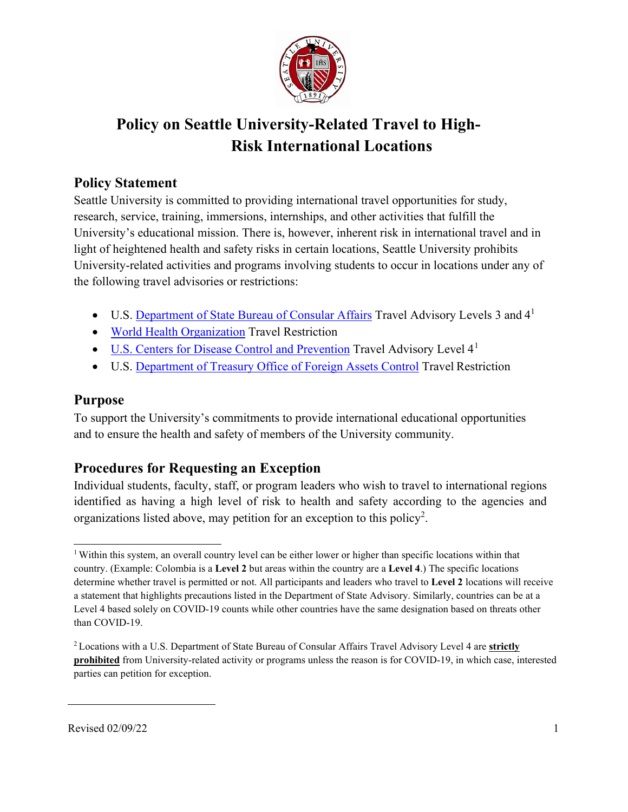

## **Policy on Seattle University-Related Travel to High-Risk International Locations**

## **Policy Statement**

Seattle University is committed to providing international travel opportunities for study, research, service, training, immersions, internships, and other activities that fulfill the University's educational mission. There is, however, inherent risk in international travel and in light of heightened health and safety risks in certain locations, Seattle University prohibits University-related activities and programs involving students to occur in locations under any of the following travel advisories or restrictions:

- U.S. [Department of State Bureau of Consular Affairs](https://travel.state.gov/content/travel/en/traveladvisories/traveladvisories.html/) Travel Advisory Levels 3 and 4<sup>[1](#page-0-0)</sup>
- [World Health Organization](http://www.who.int/en/) Travel Restriction
- [U.S. Centers for Disease Control and Prevention](https://www.cdc.gov/) Travel Advisory Level  $4<sup>1</sup>$  $4<sup>1</sup>$  $4<sup>1</sup>$
- U.S. [Department of Treasury Office of Foreign Assets Control](https://www.treasury.gov/about/organizational-structure/offices/Pages/Office-of-Foreign-Assets-Control.aspx) Travel Restriction

## **Purpose**

To support the University's commitments to provide international educational opportunities and to ensure the health and safety of members of the University community.

## **Procedures for Requesting an Exception**

Individual students, faculty, staff, or program leaders who wish to travel to international regions identified as having a high level of risk to health and safety according to the agencies and organizations listed above, may petition for an exception to this policy<sup>2</sup>.

<span id="page-0-0"></span><sup>1</sup> Within this system, an overall country level can be either lower or higher than specific locations within that country. (Example: Colombia is a **Level 2** but areas within the country are a **Level 4**.) The specific locations determine whether travel is permitted or not. All participants and leaders who travel to **Level 2** locations will receive a statement that highlights precautions listed in the Department of State Advisory. Similarly, countries can be at a Level 4 based solely on COVID-19 counts while other countries have the same designation based on threats other than COVID-19.

<span id="page-0-2"></span><span id="page-0-1"></span><sup>2</sup> Locations with a U.S. Department of State Bureau of Consular Affairs Travel Advisory Level 4 are **strictly prohibited** from University-related activity or programs unless the reason is for COVID-19, in which case, interested parties can petition for exception.